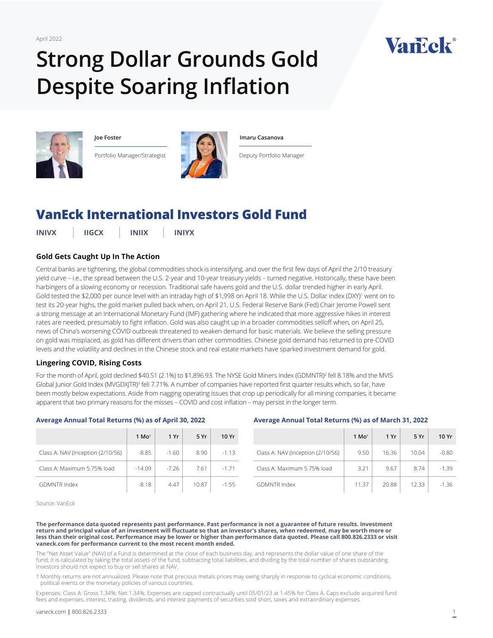April 2022

# **Strong Dollar Grounds Gold Despite Soaring Inflation**



**Joe Foster**

Portfolio Manager/Strategist



#### **Imaru Casanova**

Deputy Portfolio Manager

# **[VanEck International Investors Gold Fund](https://www.vaneck.com/us/en/investments/international-investors-gold-fund-inivx/)**

**INIVX IIGCX INIIX INIYX**

# **Gold Gets Caught Up In The Action**

Central banks are tightening, the global commodities shock is intensifying, and over the first few days of April the 2/10 treasury yield curve – i.e., the spread between the U.S. 2-year and 10-year treasury yields – turned negative. Historically, these have been harbingers of a slowing economy or recession. Traditional safe havens gold and the U.S. dollar trended higher in early April. Gold tested the \$2,000 per ounce level with an intraday high of \$1,998 on April 18. While the U.S. Dollar index (DXY)<sup>1</sup> went on to test its 20-year highs, the gold market pulled back when, on April 21, U.S. Federal Reserve Bank (Fed) Chair Jerome Powell sent a strong message at an International Monetary Fund (IMF) gathering where he indicated that more aggressive hikes in interest rates are needed, presumably to fight inflation. Gold was also caught up in a broader commodities selloff when, on April 25, news of China's worsening COVID outbreak threatened to weaken demand for basic materials. We believe the selling pressure on gold was misplaced, as gold has different drivers than other commodities. Chinese gold demand has returned to pre-COVID levels and the volatility and declines in the Chinese stock and real estate markets have sparked investment demand for gold.

# **Lingering COVID, Rising Costs**

**Average Annual Total Returns (%) as of April 30, 2022**

For the month of April, gold declined \$40.51 (2.1%) to \$1,896.93. The NYSE Gold Miners Index (GDMNTR)<sup>2</sup> fell 8.18% and the MVIS Global Junior Gold Index (MVGDXJTR)<sup>3</sup> fell 7.71%. A number of companies have reported first quarter results which, so far, have been mostly below expectations. Aside from nagging operating issues that crop up periodically for all mining companies, it became apparent that two primary reasons for the misses – COVID and cost inflation – may persist in the longer term.

# **1 Mo† 1 Yr 5 Yr 10 Yr** Class A: NAV (Inception (2/10/56)  $\vert$  -8.85  $\vert$  -1.60  $\vert$  8.90  $\vert$  -1.13  $Class A: Maximum 5.75\% load = -14.09 = -7.26 = -7.61 = -1.71$ GDMNTR Index 1.55

#### **Average Annual Total Returns (%) as of March 31, 2022**

|                                   | 1 Mo <sup><math>\dagger</math></sup> | 1 Yr  | 5 Yr  | 10 Yr   |
|-----------------------------------|--------------------------------------|-------|-------|---------|
| Class A: NAV (Inception (2/10/56) | 9.50                                 | 16.36 | 10.04 | $-0.80$ |
| Class A: Maximum 5.75% load       | 3.21                                 | 9.67  | 8.74  | $-1.39$ |
| <b>GDMNTR Index</b>               | 11.37                                | 20.88 | 1233  | $-1.36$ |

Source: VanEck

**The performance data quoted represents past performance. Past performance is not a guarantee of future results. Investment return and principal value of an investment will fluctuate so that an investor's shares, when redeemed, may be worth more or less than their original cost. Performance may be lower or higher than performance data quoted. Please call 800.826.2333 or visit vaneck.com for performance current to the most recent month ended.** 

The "Net Asset Value" (NAV) of a Fund is determined at the close of each business day, and represents the dollar value of one share of the fund; it is calculated by taking the total assets of the fund, subtracting total liabilities, and dividing by the total number of shares outstanding. Investors should not expect to buy or sell shares at NAV.

† Monthly returns are not annualized. Please note that precious metals prices may swing sharply in response to cyclical economic conditions, political events or the monetary policies of various countries.

Expenses: Class A: Gross 1.34%; Net 1.34%. Expenses are capped contractually until 05/01/23 at 1.45% for Class A. Caps exclude acquired fund fees and expenses, interest, trading, dividends, and interest payments of securities sold short, taxes and extraordinary expenses.

Vancek®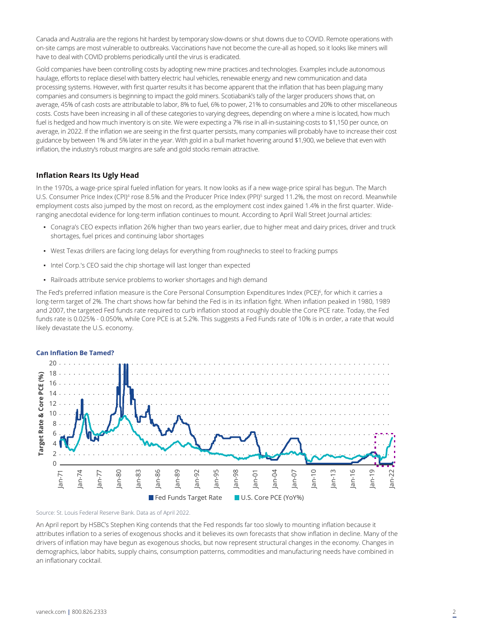Canada and Australia are the regions hit hardest by temporary slow-downs or shut downs due to COVID. Remote operations with on-site camps are most vulnerable to outbreaks. Vaccinations have not become the cure-all as hoped, so it looks like miners will have to deal with COVID problems periodically until the virus is eradicated.

Gold companies have been controlling costs by adopting new mine practices and technologies. Examples include autonomous haulage, efforts to replace diesel with battery electric haul vehicles, renewable energy and new communication and data processing systems. However, with first quarter results it has become apparent that the inflation that has been plaguing many companies and consumers is beginning to impact the gold miners. Scotiabank's tally of the larger producers shows that, on average, 45% of cash costs are attributable to labor, 8% to fuel, 6% to power, 21% to consumables and 20% to other miscellaneous costs. Costs have been increasing in all of these categories to varying degrees, depending on where a mine is located, how much fuel is hedged and how much inventory is on site. We were expecting a 7% rise in all-in-sustaining-costs to \$1,150 per ounce, on average, in 2022. If the inflation we are seeing in the first quarter persists, many companies will probably have to increase their cost guidance by between 1% and 5% later in the year. With gold in a bull market hovering around \$1,900, we believe that even with inflation, the industry's robust margins are safe and gold stocks remain attractive.

### **Inflation Rears Its Ugly Head**

In the 1970s, a wage-price spiral fueled inflation for years. It now looks as if a new wage-price spiral has begun. The March U.S. Consumer Price Index (CPI)<sup>4</sup> rose 8.5% and the Producer Price Index (PPI)<sup>5</sup> surged 11.2%, the most on record. Meanwhile employment costs also jumped by the most on record, as the employment cost index gained 1.4% in the first quarter. Wideranging anecdotal evidence for long-term inflation continues to mount. According to April Wall Street Journal articles:

- Conagra's CEO expects inflation 26% higher than two years earlier, due to higher meat and dairy prices, driver and truck shortages, fuel prices and continuing labor shortages
- West Texas drillers are facing long delays for everything from roughnecks to steel to fracking pumps
- Intel Corp.'s CEO said the chip shortage will last longer than expected
- Railroads attribute service problems to worker shortages and high demand

The Fed's preferred inflation measure is the Core Personal Consumption Expenditures Index (PCE)6 , for which it carries a long-term target of 2%. The chart shows how far behind the Fed is in its inflation fight. When inflation peaked in 1980, 1989 and 2007, the targeted Fed funds rate required to curb inflation stood at roughly double the Core PCE rate. Today, the Fed funds rate is 0.025% - 0.050%, while Core PCE is at 5.2%. This suggests a Fed Funds rate of 10% is in order, a rate that would likely devastate the U.S. economy.



Source: St. Louis Federal Reserve Bank. Data as of April 2022.

An April report by HSBC's Stephen King contends that the Fed responds far too slowly to mounting inflation because it attributes inflation to a series of exogenous shocks and it believes its own forecasts that show inflation in decline. Many of the drivers of inflation may have begun as exogenous shocks, but now represent structural changes in the economy. Changes in demographics, labor habits, supply chains, consumption patterns, commodities and manufacturing needs have combined in an inflationary cocktail.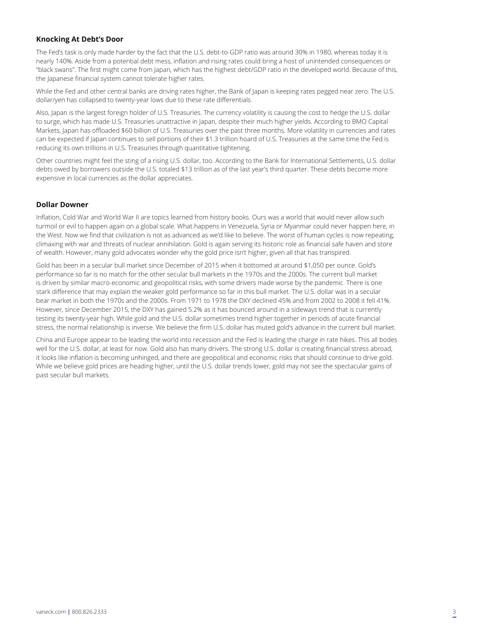# **Knocking At Debt's Door**

The Fed's task is only made harder by the fact that the U.S. debt-to-GDP ratio was around 30% in 1980, whereas today it is nearly 140%. Aside from a potential debt mess, inflation and rising rates could bring a host of unintended consequences or "black swans". The first might come from Japan, which has the highest debt/GDP ratio in the developed world. Because of this, the Japanese financial system cannot tolerate higher rates.

While the Fed and other central banks are driving rates higher, the Bank of Japan is keeping rates pegged near zero. The U.S. dollar/yen has collapsed to twenty-year lows due to these rate differentials.

Also, Japan is the largest foreign holder of U.S. Treasuries. The currency volatility is causing the cost to hedge the U.S. dollar to surge, which has made U.S. Treasuries unattractive in Japan, despite their much higher yields. According to BMO Capital Markets, Japan has offloaded \$60 billion of U.S. Treasuries over the past three months. More volatility in currencies and rates can be expected if Japan continues to sell portions of their \$1.3 trillion hoard of U.S. Treasuries at the same time the Fed is reducing its own trillions in U.S. Treasuries through quantitative tightening.

Other countries might feel the sting of a rising U.S. dollar, too. According to the Bank for International Settlements, U.S. dollar debts owed by borrowers outside the U.S. totaled \$13 trillion as of the last year's third quarter. These debts become more expensive in local currencies as the dollar appreciates.

# **Dollar Downer**

Inflation, Cold War and World War II are topics learned from history books. Ours was a world that would never allow such turmoil or evil to happen again on a global scale. What happens in Venezuela, Syria or Myanmar could never happen here, in the West. Now we find that civilization is not as advanced as we'd like to believe. The worst of human cycles is now repeating, climaxing with war and threats of nuclear annihilation. Gold is again serving its historic role as financial safe haven and store of wealth. However, many gold advocates wonder why the gold price isn't higher, given all that has transpired.

Gold has been in a secular bull market since December of 2015 when it bottomed at around \$1,050 per ounce. Gold's performance so far is no match for the other secular bull markets in the 1970s and the 2000s. The current bull market is driven by similar macro-economic and geopolitical risks, with some drivers made worse by the pandemic. There is one stark difference that may explain the weaker gold performance so far in this bull market. The U.S. dollar was in a secular bear market in both the 1970s and the 2000s. From 1971 to 1978 the DXY declined 45% and from 2002 to 2008 it fell 41%. However, since December 2015, the DXY has gained 5.2% as it has bounced around in a sideways trend that is currently testing its twenty-year high. While gold and the U.S. dollar sometimes trend higher together in periods of acute financial stress, the normal relationship is inverse. We believe the firm U.S. dollar has muted gold's advance in the current bull market.

China and Europe appear to be leading the world into recession and the Fed is leading the charge in rate hikes. This all bodes well for the U.S. dollar, at least for now. Gold also has many drivers. The strong U.S. dollar is creating financial stress abroad, it looks like inflation is becoming unhinged, and there are geopolitical and economic risks that should continue to drive gold. While we believe gold prices are heading higher, until the U.S. dollar trends lower, gold may not see the spectacular gains of past secular bull markets.